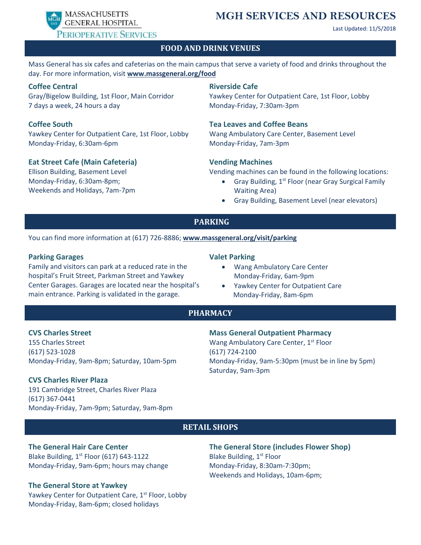PERIOPERATIVE SERVICES

# MASSACHUSETTS **MGH SERVICES AND RESOURCES** GENERAL HOSPITAL

Last Updated: 11/5/2018

#### **FOOD AND DRINK VENUES**

Mass General has six cafes and cafeterias on the main campus that serve a variety of food and drinks throughout the day. For more information, visit **[www.massgeneral.org/food](http://www.massgeneral.org/food)**

#### **Coffee Central**

Gray/Bigelow Building, 1st Floor, Main Corridor 7 days a week, 24 hours a day

### **Coffee South**

Yawkey Center for Outpatient Care, 1st Floor, Lobby Monday-Friday, 6:30am-6pm

#### **Eat Street Cafe (Main Cafeteria)**

Ellison Building, Basement Level Monday-Friday, 6:30am-8pm; Weekends and Holidays, 7am-7pm

#### **Riverside Cafe**

Yawkey Center for Outpatient Care, 1st Floor, Lobby Monday-Friday, 7:30am-3pm

#### **Tea Leaves and Coffee Beans**

Wang Ambulatory Care Center, Basement Level Monday-Friday, 7am-3pm

#### **Vending Machines**

Vending machines can be found in the following locations:

- Gray Building, 1<sup>st</sup> Floor (near Gray Surgical Family Waiting Area)
- Gray Building, Basement Level (near elevators)

## **PARKING**

You can find more information at (617) 726-8886; **[www.massgeneral.org/visit/parking](http://www.massgeneral.org/visit/parking)**

#### **Parking Garages**

Family and visitors can park at a reduced rate in the hospital's Fruit Street, Parkman Street and Yawkey Center Garages. Garages are located near the hospital's main entrance. Parking is validated in the garage.

#### **Valet Parking**

- Wang Ambulatory Care Center Monday-Friday, 6am-9pm
- Yawkey Center for Outpatient Care Monday-Friday, 8am-6pm

#### **PHARMACY**

#### **CVS Charles Street**

155 Charles Street (617) 523-1028 Monday-Friday, 9am-8pm; Saturday, 10am-5pm

#### **CVS Charles River Plaza**

191 Cambridge Street, Charles River Plaza (617) 367-0441 Monday-Friday, 7am-9pm; Saturday, 9am-8pm

### **Mass General Outpatient Pharmacy**

Wang Ambulatory Care Center, 1<sup>st</sup> Floor (617) 724-2100 Monday-Friday, 9am-5:30pm (must be in line by 5pm) Saturday, 9am-3pm

#### **RETAIL SHOPS**

## **The General Hair Care Center**

Blake Building,  $1<sup>st</sup>$  Floor (617) 643-1122 Monday-Friday, 9am-6pm; hours may change

#### **The General Store at Yawkey**

Yawkey Center for Outpatient Care, 1<sup>st</sup> Floor, Lobby Monday-Friday, 8am-6pm; closed holidays

**The General Store (includes Flower Shop)** Blake Building, 1<sup>st</sup> Floor Monday-Friday, 8:30am-7:30pm; Weekends and Holidays, 10am-6pm;